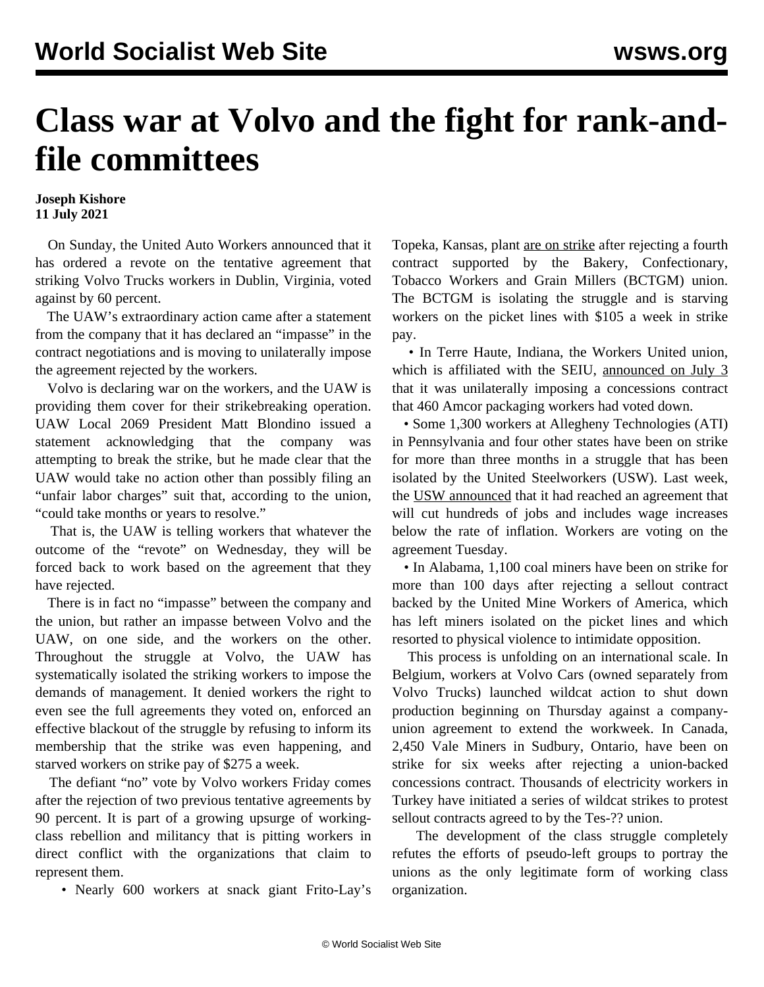## **Class war at Volvo and the fight for rank-andfile committees**

## **Joseph Kishore 11 July 2021**

 On Sunday, the United Auto Workers announced that it has ordered a revote on the tentative agreement that striking Volvo Trucks workers in Dublin, Virginia, voted against by 60 percent.

 The UAW's extraordinary action came after a statement from the company that it has declared an "impasse" in the contract negotiations and is moving to unilaterally impose the agreement rejected by the workers.

 Volvo is declaring war on the workers, and the UAW is providing them cover for their strikebreaking operation. UAW Local 2069 President Matt Blondino issued a statement acknowledging that the company was attempting to break the strike, but he made clear that the UAW would take no action other than possibly filing an "unfair labor charges" suit that, according to the union, "could take months or years to resolve."

 That is, the UAW is telling workers that whatever the outcome of the "revote" on Wednesday, they will be forced back to work based on the agreement that they have rejected.

 There is in fact no "impasse" between the company and the union, but rather an impasse between Volvo and the UAW, on one side, and the workers on the other. Throughout the struggle at Volvo, the UAW has systematically isolated the striking workers to impose the demands of management. It denied workers the right to even see the full agreements they voted on, enforced an effective blackout of the struggle by refusing to inform its membership that the strike was even happening, and starved workers on strike pay of \$275 a week.

 The defiant "no" vote by Volvo workers Friday comes after the rejection of two previous tentative agreements by 90 percent. It is part of a growing upsurge of workingclass rebellion and militancy that is pitting workers in direct conflict with the organizations that claim to represent them.

• Nearly 600 workers at snack giant Frito-Lay's

Topeka, Kansas, plant [are on strike](/en/articles/2021/07/09/rank-j09.html) after rejecting a fourth contract supported by the Bakery, Confectionary, Tobacco Workers and Grain Millers (BCTGM) union. The BCTGM is isolating the struggle and is starving workers on the picket lines with \$105 a week in strike pay.

 • In Terre Haute, Indiana, the Workers United union, which is affiliated with the SEIU, [announced on July 3](/en/articles/2021/07/09/amco-j09.html) that it was unilaterally imposing a concessions contract that 460 Amcor packaging workers had voted down.

 • Some 1,300 workers at Allegheny Technologies (ATI) in Pennsylvania and four other states have been on strike for more than three months in a struggle that has been isolated by the United Steelworkers (USW). Last week, the [USW announced](/en/articles/2021/07/10/atii-j10.html) that it had reached an agreement that will cut hundreds of jobs and includes wage increases below the rate of inflation. Workers are voting on the agreement Tuesday.

 • In Alabama, 1,100 coal miners [have been on strike](/en/articles/2021/07/10/warr-j10.html) for more than 100 days after rejecting a sellout contract backed by the United Mine Workers of America, which has left miners isolated on the picket lines and which resorted to physical violence to intimidate opposition.

 This process is unfolding on an international scale. In Belgium, workers at Volvo Cars (owned separately from Volvo Trucks) [launched wildcat](/en/articles/2021/07/09/glen-j09.html) action to shut down production beginning on Thursday against a companyunion agreement to extend the workweek. In Canada, 2,450 Vale Miners in Sudbury, Ontario, have been on strike for six weeks after rejecting a union-backed concessions contract. Thousands of electricity workers in Turkey have initiated a [series of wildcat strikes](/en/articles/2021/07/10/turk-j10.html) to protest sellout contracts agreed to by the Tes-?? union.

 The development of the class struggle completely refutes the efforts of pseudo-left groups to portray the unions as the only legitimate form of working class organization.